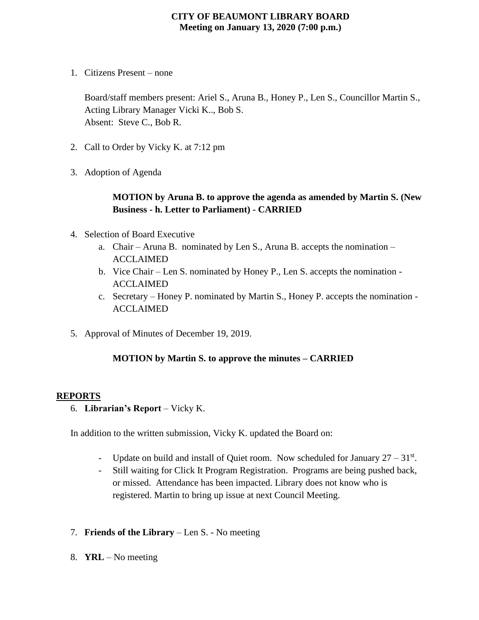### **CITY OF BEAUMONT LIBRARY BOARD Meeting on January 13, 2020 (7:00 p.m.)**

1. Citizens Present – none

Board/staff members present: Ariel S., Aruna B., Honey P., Len S., Councillor Martin S., Acting Library Manager Vicki K.., Bob S. Absent: Steve C., Bob R.

- 2. Call to Order by Vicky K. at 7:12 pm
- 3. Adoption of Agenda

## **MOTION by Aruna B. to approve the agenda as amended by Martin S. (New Business - h. Letter to Parliament) - CARRIED**

- 4. Selection of Board Executive
	- a. Chair Aruna B. nominated by Len S., Aruna B. accepts the nomination ACCLAIMED
	- b. Vice Chair Len S. nominated by Honey P., Len S. accepts the nomination ACCLAIMED
	- c. Secretary Honey P. nominated by Martin S., Honey P. accepts the nomination ACCLAIMED
- 5. Approval of Minutes of December 19, 2019.

#### **MOTION by Martin S. to approve the minutes – CARRIED**

#### **REPORTS**

6. **Librarian's Report** – Vicky K.

In addition to the written submission, Vicky K. updated the Board on:

- Update on build and install of Quiet room. Now scheduled for January  $27 31<sup>st</sup>$ .
- Still waiting for Click It Program Registration. Programs are being pushed back, or missed. Attendance has been impacted. Library does not know who is registered. Martin to bring up issue at next Council Meeting.
- 7. **Friends of the Library** Len S. No meeting
- 8. **YRL** No meeting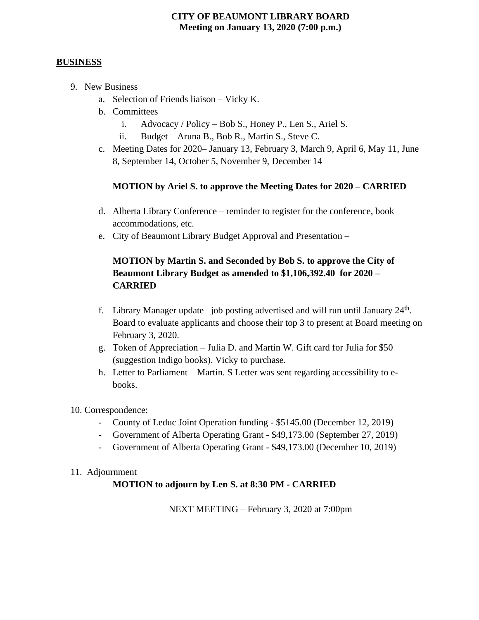## **CITY OF BEAUMONT LIBRARY BOARD Meeting on January 13, 2020 (7:00 p.m.)**

#### **BUSINESS**

- 9. New Business
	- a. Selection of Friends liaison Vicky K.
	- b. Committees
		- i. Advocacy / Policy Bob S., Honey P., Len S., Ariel S.
		- ii. Budget Aruna B., Bob R., Martin S., Steve C.
	- c. Meeting Dates for 2020– January 13, February 3, March 9, April 6, May 11, June 8, September 14, October 5, November 9, December 14

#### **MOTION by Ariel S. to approve the Meeting Dates for 2020 – CARRIED**

- d. Alberta Library Conference reminder to register for the conference, book accommodations, etc.
- e. City of Beaumont Library Budget Approval and Presentation –

## **MOTION by Martin S. and Seconded by Bob S. to approve the City of Beaumont Library Budget as amended to \$1,106,392.40 for 2020 – CARRIED**

- f. Library Manager update job posting advertised and will run until January  $24<sup>th</sup>$ . Board to evaluate applicants and choose their top 3 to present at Board meeting on February 3, 2020.
- g. Token of Appreciation Julia D. and Martin W. Gift card for Julia for \$50 (suggestion Indigo books). Vicky to purchase.
- h. Letter to Parliament Martin. S Letter was sent regarding accessibility to ebooks.

#### 10. Correspondence:

- County of Leduc Joint Operation funding \$5145.00 (December 12, 2019)
- Government of Alberta Operating Grant \$49,173.00 (September 27, 2019)
- Government of Alberta Operating Grant \$49,173.00 (December 10, 2019)

#### 11. Adjournment

## **MOTION to adjourn by Len S. at 8:30 PM - CARRIED**

NEXT MEETING – February 3, 2020 at 7:00pm